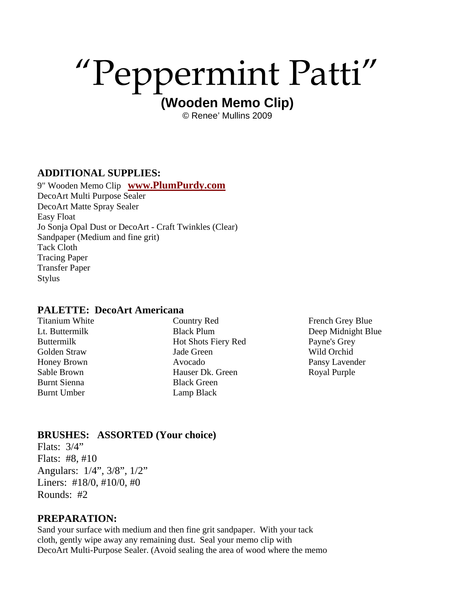# "Peppermint Patti"

## **(Wooden Memo Clip)**

© Renee' Mullins 2009

#### **ADDITIONAL SUPPLIES:**

9" Wooden Memo Clip **[www.PlumPurdy.com](http://www.plumpurdy.com/)** DecoArt Multi Purpose Sealer DecoArt Matte Spray Sealer Easy Float Jo Sonja Opal Dust or DecoArt - Craft Twinkles (Clear) Sandpaper (Medium and fine grit) Tack Cloth Tracing Paper Transfer Paper Stylus

#### **PALETTE: DecoArt Americana**

Titanium White Lt. Buttermilk Buttermilk Golden Straw Honey Brown Sable Brown Burnt Sienna Burnt Umber

Country Red Black Plum Hot Shots Fiery Red Jade Green Avocado Hauser Dk. Green Black Green Lamp Black

French Grey Blue Deep Midnight Blue Payne's Grey Wild Orchid Pansy Lavender Royal Purple

#### **BRUSHES: ASSORTED (Your choice)**

Flats: 3/4" Flats: #8, #10 Angulars: 1/4", 3/8", 1/2" Liners: #18/0, #10/0, #0 Rounds: #2

#### **PREPARATION:**

Sand your surface with medium and then fine grit sandpaper. With your tack cloth, gently wipe away any remaining dust. Seal your memo clip with DecoArt Multi-Purpose Sealer. (Avoid sealing the area of wood where the memo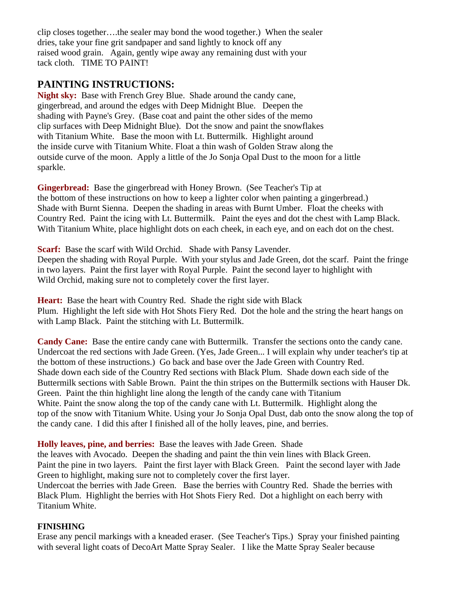clip closes together….the sealer may bond the wood together.) When the sealer dries, take your fine grit sandpaper and sand lightly to knock off any raised wood grain. Again, gently wipe away any remaining dust with your tack cloth. TIME TO PAINT!

#### **PAINTING INSTRUCTIONS:**

**Night sky:** Base with French Grey Blue. Shade around the candy cane, gingerbread, and around the edges with Deep Midnight Blue. Deepen the shading with Payne's Grey. (Base coat and paint the other sides of the memo clip surfaces with Deep Midnight Blue). Dot the snow and paint the snowflakes with Titanium White. Base the moon with Lt. Buttermilk. Highlight around the inside curve with Titanium White. Float a thin wash of Golden Straw along the outside curve of the moon. Apply a little of the Jo Sonja Opal Dust to the moon for a little sparkle.

**Gingerbread:** Base the gingerbread with Honey Brown. (See Teacher's Tip at the bottom of these instructions on how to keep a lighter color when painting a gingerbread.) Shade with Burnt Sienna. Deepen the shading in areas with Burnt Umber. Float the cheeks with Country Red. Paint the icing with Lt. Buttermilk. Paint the eyes and dot the chest with Lamp Black. With Titanium White, place highlight dots on each cheek, in each eye, and on each dot on the chest.

**Scarf:** Base the scarf with Wild Orchid. Shade with Pansy Lavender.

Deepen the shading with Royal Purple. With your stylus and Jade Green, dot the scarf. Paint the fringe in two layers. Paint the first layer with Royal Purple. Paint the second layer to highlight with Wild Orchid, making sure not to completely cover the first layer.

**Heart:** Base the heart with Country Red. Shade the right side with Black Plum. Highlight the left side with Hot Shots Fiery Red. Dot the hole and the string the heart hangs on with Lamp Black. Paint the stitching with Lt. Buttermilk.

**Candy Cane:** Base the entire candy cane with Buttermilk. Transfer the sections onto the candy cane. Undercoat the red sections with Jade Green. (Yes, Jade Green... I will explain why under teacher's tip at the bottom of these instructions.) Go back and base over the Jade Green with Country Red. Shade down each side of the Country Red sections with Black Plum. Shade down each side of the Buttermilk sections with Sable Brown. Paint the thin stripes on the Buttermilk sections with Hauser Dk. Green. Paint the thin highlight line along the length of the candy cane with Titanium White. Paint the snow along the top of the candy cane with Lt. Buttermilk. Highlight along the top of the snow with Titanium White. Using your Jo Sonja Opal Dust, dab onto the snow along the top of the candy cane. I did this after I finished all of the holly leaves, pine, and berries.

**Holly leaves, pine, and berries:** Base the leaves with Jade Green. Shade the leaves with Avocado. Deepen the shading and paint the thin vein lines with Black Green. Paint the pine in two layers. Paint the first layer with Black Green. Paint the second layer with Jade Green to highlight, making sure not to completely cover the first layer. Undercoat the berries with Jade Green. Base the berries with Country Red. Shade the berries with Black Plum. Highlight the berries with Hot Shots Fiery Red. Dot a highlight on each berry with Titanium White.

#### **FINISHING**

Erase any pencil markings with a kneaded eraser. (See Teacher's Tips.) Spray your finished painting with several light coats of DecoArt Matte Spray Sealer. I like the Matte Spray Sealer because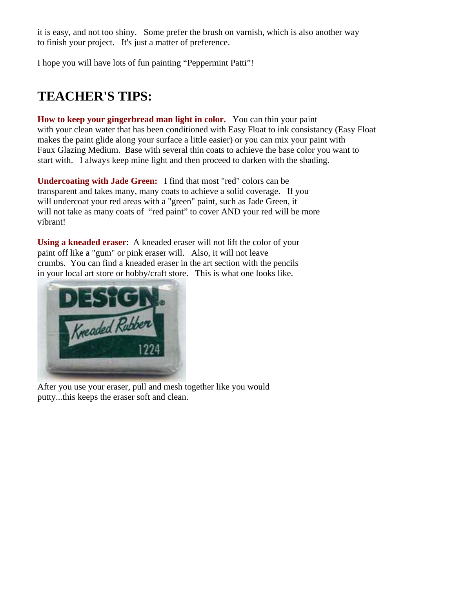it is easy, and not too shiny. Some prefer the brush on varnish, which is also another way to finish your project. It's just a matter of preference.

I hope you will have lots of fun painting "Peppermint Patti"!

### **TEACHER'S TIPS:**

**How to keep your gingerbread man light in color.** You can thin your paint with your clean water that has been conditioned with Easy Float to ink consistancy (Easy Float makes the paint glide along your surface a little easier) or you can mix your paint with Faux Glazing Medium. Base with several thin coats to achieve the base color you want to start with. I always keep mine light and then proceed to darken with the shading.

**Undercoating with Jade Green:** I find that most "red" colors can be transparent and takes many, many coats to achieve a solid coverage. If you will undercoat your red areas with a "green" paint, such as Jade Green, it will not take as many coats of "red paint" to cover AND your red will be more vibrant!

**Using a kneaded eraser**: A kneaded eraser will not lift the color of your paint off like a "gum" or pink eraser will. Also, it will not leave crumbs. You can find a kneaded eraser in the art section with the pencils in your local art store or hobby/craft store. This is what one looks like.



After you use your eraser, pull and mesh together like you would putty...this keeps the eraser soft and clean.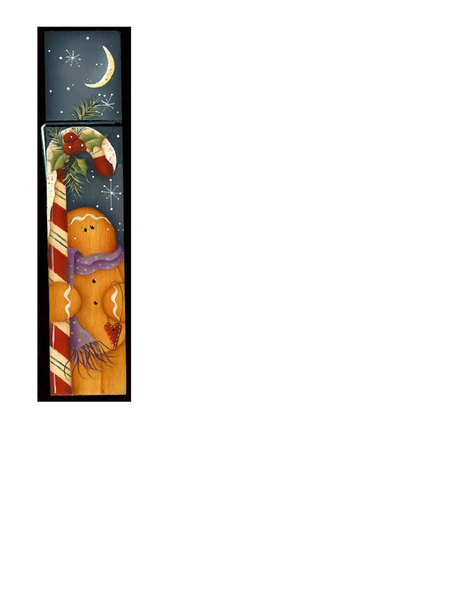